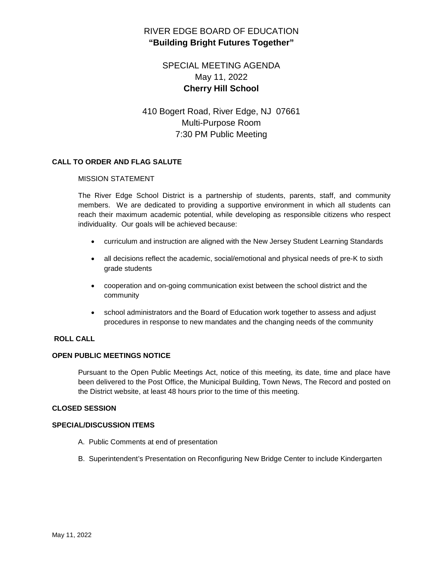# RIVER EDGE BOARD OF EDUCATION **"Building Bright Futures Together"**

# SPECIAL MEETING AGENDA May 11, 2022 **Cherry Hill School**

# 410 Bogert Road, River Edge, NJ 07661 Multi-Purpose Room 7:30 PM Public Meeting

## **CALL TO ORDER AND FLAG SALUTE**

### MISSION STATEMENT

The River Edge School District is a partnership of students, parents, staff, and community members. We are dedicated to providing a supportive environment in which all students can reach their maximum academic potential, while developing as responsible citizens who respect individuality. Our goals will be achieved because:

- curriculum and instruction are aligned with the New Jersey Student Learning Standards
- all decisions reflect the academic, social/emotional and physical needs of pre-K to sixth grade students
- cooperation and on-going communication exist between the school district and the community
- school administrators and the Board of Education work together to assess and adjust procedures in response to new mandates and the changing needs of the community

## **ROLL CALL**

#### **OPEN PUBLIC MEETINGS NOTICE**

Pursuant to the Open Public Meetings Act, notice of this meeting, its date, time and place have been delivered to the Post Office, the Municipal Building, Town News, The Record and posted on the District website, at least 48 hours prior to the time of this meeting.

#### **CLOSED SESSION**

#### **SPECIAL/DISCUSSION ITEMS**

- A. Public Comments at end of presentation
- B. Superintendent's Presentation on Reconfiguring New Bridge Center to include Kindergarten